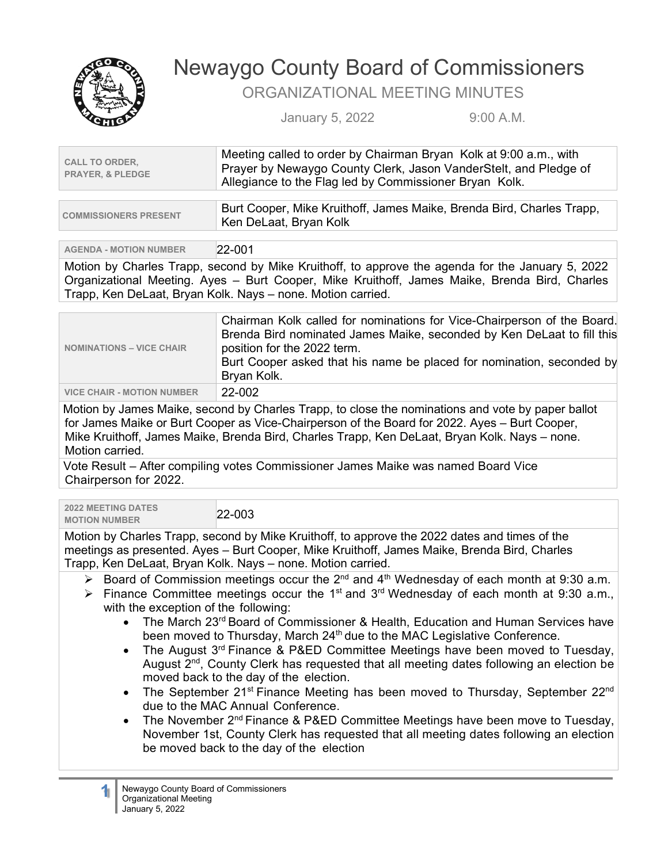

## Newaygo County Board of Commissioners

ORGANIZATIONAL MEETING MINUTES

January 5, 2022 9:00 A.M.

| <b>CALL TO ORDER,</b><br><b>PRAYER, &amp; PLEDGE</b> | Meeting called to order by Chairman Bryan Kolk at 9:00 a.m., with<br>Prayer by Newaygo County Clerk, Jason VanderStelt, and Pledge of<br>Allegiance to the Flag led by Commissioner Bryan Kolk. |  |
|------------------------------------------------------|-------------------------------------------------------------------------------------------------------------------------------------------------------------------------------------------------|--|
|                                                      |                                                                                                                                                                                                 |  |
| <b>COMMISSIONERS PRESENT</b>                         | Burt Cooper, Mike Kruithoff, James Maike, Brenda Bird, Charles Trapp,<br>Ken DeLaat, Bryan Kolk                                                                                                 |  |
|                                                      |                                                                                                                                                                                                 |  |
| <b>AGENDA - MOTION NUMBER</b>                        | 22-001                                                                                                                                                                                          |  |
|                                                      |                                                                                                                                                                                                 |  |

Motion by Charles Trapp, second by Mike Kruithoff, to approve the agenda for the January 5, 2022 Organizational Meeting. Ayes – Burt Cooper, Mike Kruithoff, James Maike, Brenda Bird, Charles Trapp, Ken DeLaat, Bryan Kolk. Nays – none. Motion carried.

| <b>NOMINATIONS - VICE CHAIR</b>   | Chairman Kolk called for nominations for Vice-Chairperson of the Board.<br>Brenda Bird nominated James Maike, seconded by Ken DeLaat to fill this<br>position for the 2022 term.<br>Burt Cooper asked that his name be placed for nomination, seconded by<br>Bryan Kolk. |
|-----------------------------------|--------------------------------------------------------------------------------------------------------------------------------------------------------------------------------------------------------------------------------------------------------------------------|
| <b>VICE CHAIR - MOTION NUMBER</b> | 22-002                                                                                                                                                                                                                                                                   |

Motion by James Maike, second by Charles Trapp, to close the nominations and vote by paper ballot for James Maike or Burt Cooper as Vice-Chairperson of the Board for 2022. Ayes – Burt Cooper, Mike Kruithoff, James Maike, Brenda Bird, Charles Trapp, Ken DeLaat, Bryan Kolk. Nays – none. Motion carried.

Vote Result – After compiling votes Commissioner James Maike was named Board Vice Chairperson for 2022.

**2022 MEETING DATES MOTION NUMBER** 22-003

Motion by Charles Trapp, second by Mike Kruithoff, to approve the 2022 dates and times of the meetings as presented. Ayes – Burt Cooper, Mike Kruithoff, James Maike, Brenda Bird, Charles Trapp, Ken DeLaat, Bryan Kolk. Nays – none. Motion carried.

- Board of Commission meetings occur the  $2^{nd}$  and  $4^{th}$  Wednesday of each month at 9:30 a.m.
- Finance Committee meetings occur the 1<sup>st</sup> and 3<sup>rd</sup> Wednesday of each month at 9:30 a.m., with the exception of the following:
	- The March 23<sup>rd</sup> Board of Commissioner & Health, Education and Human Services have been moved to Thursday, March 24<sup>th</sup> due to the MAC Legislative Conference.
	- The August 3<sup>rd</sup> Finance & P&ED Committee Meetings have been moved to Tuesday, August 2<sup>nd</sup>, County Clerk has requested that all meeting dates following an election be moved back to the day of the election.
	- The September 21<sup>st</sup> Finance Meeting has been moved to Thursday, September 22<sup>nd</sup> due to the MAC Annual Conference.
	- The November 2<sup>nd</sup> Finance & P&ED Committee Meetings have been move to Tuesday, November 1st, County Clerk has requested that all meeting dates following an election be moved back to the day of the election